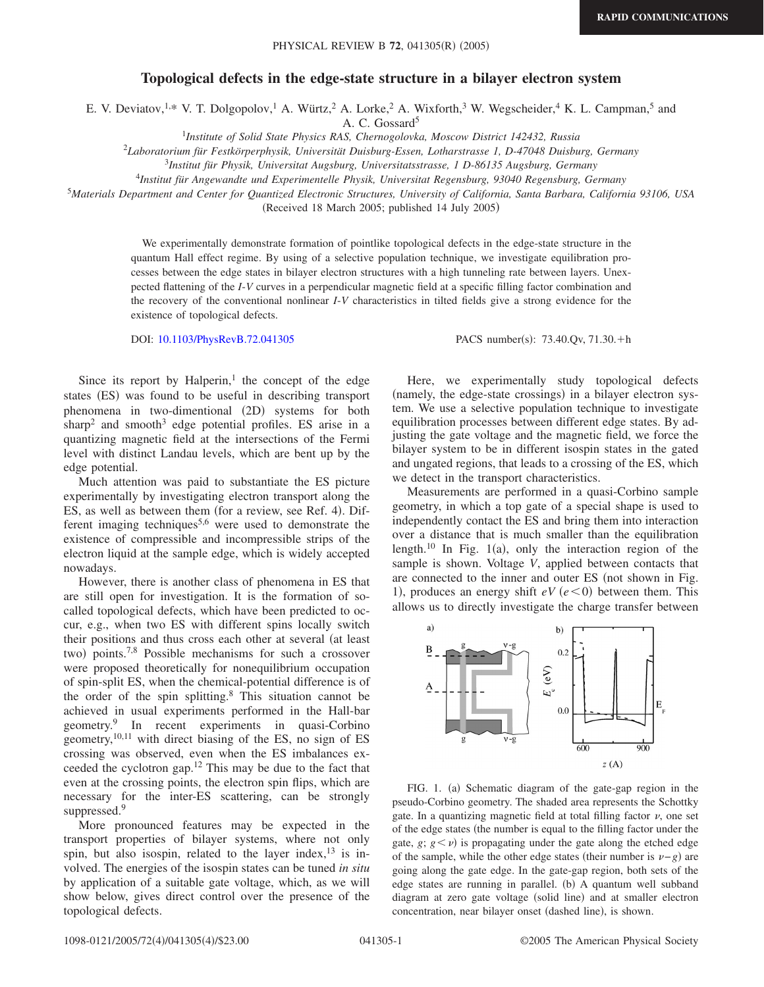## **Topological defects in the edge-state structure in a bilayer electron system**

E. V. Deviatov,<sup>1,\*</sup> V. T. Dolgopolov,<sup>1</sup> A. Würtz,<sup>2</sup> A. Lorke,<sup>2</sup> A. Wixforth,<sup>3</sup> W. Wegscheider,<sup>4</sup> K. L. Campman,<sup>5</sup> and

A. C. Gossard<sup>5</sup>

<sup>1</sup>*Institute of Solid State Physics RAS, Chernogolovka, Moscow District 142432, Russia*

2 *Laboratorium für Festkörperphysik, Universität Duisburg-Essen, Lotharstrasse 1, D-47048 Duisburg, Germany*

<sup>3</sup>*Institut für Physik, Universitat Augsburg, Universitatsstrasse, 1 D-86135 Augsburg, Germany*

<sup>4</sup>*Institut für Angewandte und Experimentelle Physik, Universitat Regensburg, 93040 Regensburg, Germany*

<sup>5</sup>*Materials Department and Center for Quantized Electronic Structures, University of California, Santa Barbara, California 93106, USA*

(Received 18 March 2005; published 14 July 2005)

We experimentally demonstrate formation of pointlike topological defects in the edge-state structure in the quantum Hall effect regime. By using of a selective population technique, we investigate equilibration processes between the edge states in bilayer electron structures with a high tunneling rate between layers. Unexpected flattening of the *I*-*V* curves in a perpendicular magnetic field at a specific filling factor combination and the recovery of the conventional nonlinear *I*-*V* characteristics in tilted fields give a strong evidence for the existence of topological defects.

DOI: [10.1103/PhysRevB.72.041305](http://dx.doi.org/10.1103/PhysRevB.72.041305)

PACS number(s): 73.40.Qv, 71.30.+h

Since its report by Halperin, $\frac{1}{1}$  the concept of the edge states (ES) was found to be useful in describing transport phenomena in two-dimentional (2D) systems for both sharp<sup>2</sup> and smooth<sup>3</sup> edge potential profiles. ES arise in a quantizing magnetic field at the intersections of the Fermi level with distinct Landau levels, which are bent up by the edge potential.

Much attention was paid to substantiate the ES picture experimentally by investigating electron transport along the ES, as well as between them (for a review, see Ref. 4). Different imaging techniques5,6 were used to demonstrate the existence of compressible and incompressible strips of the electron liquid at the sample edge, which is widely accepted nowadays.

However, there is another class of phenomena in ES that are still open for investigation. It is the formation of socalled topological defects, which have been predicted to occur, e.g., when two ES with different spins locally switch their positions and thus cross each other at several (at least two) points.<sup>7,8</sup> Possible mechanisms for such a crossover were proposed theoretically for nonequilibrium occupation of spin-split ES, when the chemical-potential difference is of the order of the spin splitting.<sup>8</sup> This situation cannot be achieved in usual experiments performed in the Hall-bar geometry.9 In recent experiments in quasi-Corbino geometry,  $10,11$  with direct biasing of the ES, no sign of ES crossing was observed, even when the ES imbalances exceeded the cyclotron gap.12 This may be due to the fact that even at the crossing points, the electron spin flips, which are necessary for the inter-ES scattering, can be strongly suppressed.<sup>9</sup>

More pronounced features may be expected in the transport properties of bilayer systems, where not only spin, but also isospin, related to the layer index,  $13$  is involved. The energies of the isospin states can be tuned *in situ* by application of a suitable gate voltage, which, as we will show below, gives direct control over the presence of the topological defects.

Here, we experimentally study topological defects (namely, the edge-state crossings) in a bilayer electron system. We use a selective population technique to investigate equilibration processes between different edge states. By adjusting the gate voltage and the magnetic field, we force the bilayer system to be in different isospin states in the gated and ungated regions, that leads to a crossing of the ES, which we detect in the transport characteristics.

Measurements are performed in a quasi-Corbino sample geometry, in which a top gate of a special shape is used to independently contact the ES and bring them into interaction over a distance that is much smaller than the equilibration length.<sup>10</sup> In Fig. 1(a), only the interaction region of the sample is shown. Voltage *V*, applied between contacts that are connected to the inner and outer ES (not shown in Fig. 1), produces an energy shift  $eV(e<0)$  between them. This allows us to directly investigate the charge transfer between



FIG. 1. (a) Schematic diagram of the gate-gap region in the pseudo-Corbino geometry. The shaded area represents the Schottky gate. In a quantizing magnetic field at total filling factor  $\nu$ , one set of the edge states (the number is equal to the filling factor under the gate,  $g$ ;  $g$   $\lt$   $\nu$ ) is propagating under the gate along the etched edge of the sample, while the other edge states (their number is  $\nu-g$ ) are going along the gate edge. In the gate-gap region, both sets of the edge states are running in parallel. (b) A quantum well subband diagram at zero gate voltage (solid line) and at smaller electron concentration, near bilayer onset (dashed line), is shown.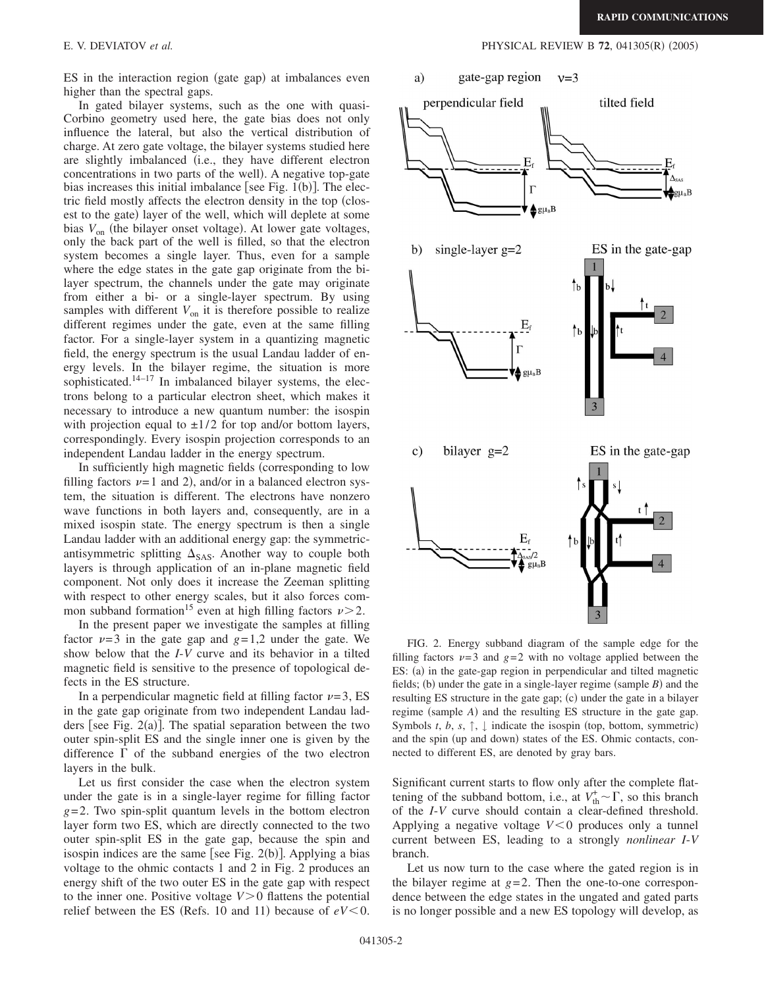ES in the interaction region (gate gap) at imbalances even higher than the spectral gaps.

In gated bilayer systems, such as the one with quasi-Corbino geometry used here, the gate bias does not only influence the lateral, but also the vertical distribution of charge. At zero gate voltage, the bilayer systems studied here are slightly imbalanced (i.e., they have different electron concentrations in two parts of the well). A negative top-gate bias increases this initial imbalance [see Fig.  $1(b)$ ]. The electric field mostly affects the electron density in the top (closest to the gate) layer of the well, which will deplete at some bias  $V_{\text{on}}$  (the bilayer onset voltage). At lower gate voltages, only the back part of the well is filled, so that the electron system becomes a single layer. Thus, even for a sample where the edge states in the gate gap originate from the bilayer spectrum, the channels under the gate may originate from either a bi- or a single-layer spectrum. By using samples with different  $V_{on}$  it is therefore possible to realize different regimes under the gate, even at the same filling factor. For a single-layer system in a quantizing magnetic field, the energy spectrum is the usual Landau ladder of energy levels. In the bilayer regime, the situation is more sophisticated. $14-17$  In imbalanced bilayer systems, the electrons belong to a particular electron sheet, which makes it necessary to introduce a new quantum number: the isospin with projection equal to  $\pm 1/2$  for top and/or bottom layers, correspondingly. Every isospin projection corresponds to an independent Landau ladder in the energy spectrum.

In sufficiently high magnetic fields (corresponding to low filling factors  $\nu=1$  and 2), and/or in a balanced electron system, the situation is different. The electrons have nonzero wave functions in both layers and, consequently, are in a mixed isospin state. The energy spectrum is then a single Landau ladder with an additional energy gap: the symmetricantisymmetric splitting  $\Delta_{SAS}$ . Another way to couple both layers is through application of an in-plane magnetic field component. Not only does it increase the Zeeman splitting with respect to other energy scales, but it also forces common subband formation<sup>15</sup> even at high filling factors  $\nu > 2$ .

In the present paper we investigate the samples at filling factor  $\nu=3$  in the gate gap and  $g=1,2$  under the gate. We show below that the *I*-*V* curve and its behavior in a tilted magnetic field is sensitive to the presence of topological defects in the ES structure.

In a perpendicular magnetic field at filling factor  $\nu=3$ , ES in the gate gap originate from two independent Landau ladders [see Fig.  $2(a)$ ]. The spatial separation between the two outer spin-split ES and the single inner one is given by the difference  $\Gamma$  of the subband energies of the two electron layers in the bulk.

Let us first consider the case when the electron system under the gate is in a single-layer regime for filling factor *g*=2. Two spin-split quantum levels in the bottom electron layer form two ES, which are directly connected to the two outer spin-split ES in the gate gap, because the spin and isospin indices are the same [see Fig.  $2(b)$ ]. Applying a bias voltage to the ohmic contacts 1 and 2 in Fig. 2 produces an energy shift of the two outer ES in the gate gap with respect to the inner one. Positive voltage  $V > 0$  flattens the potential relief between the ES (Refs. 10 and 11) because of  $eV < 0$ .

E. V. DEVIATOV *et al.* **PHYSICAL REVIEW B 72**, 041305(R) (2005)



FIG. 2. Energy subband diagram of the sample edge for the filling factors  $\nu=3$  and  $g=2$  with no voltage applied between the ES: (a) in the gate-gap region in perpendicular and tilted magnetic fields; (b) under the gate in a single-layer regime (sample  $B$ ) and the resulting ES structure in the gate gap; (c) under the gate in a bilayer regime (sample *A*) and the resulting ES structure in the gate gap. Symbols *t*, *b*, *s*,  $\uparrow$ ,  $\downarrow$  indicate the isospin (top, bottom, symmetric) and the spin (up and down) states of the ES. Ohmic contacts, connected to different ES, are denoted by gray bars.

Significant current starts to flow only after the complete flattening of the subband bottom, i.e., at  $V_{\text{th}}^{\dagger} \sim \Gamma$ , so this branch of the *I*-*V* curve should contain a clear-defined threshold. Applying a negative voltage  $V < 0$  produces only a tunnel current between ES, leading to a strongly *nonlinear I*-*V* branch.

Let us now turn to the case where the gated region is in the bilayer regime at  $g=2$ . Then the one-to-one correspondence between the edge states in the ungated and gated parts is no longer possible and a new ES topology will develop, as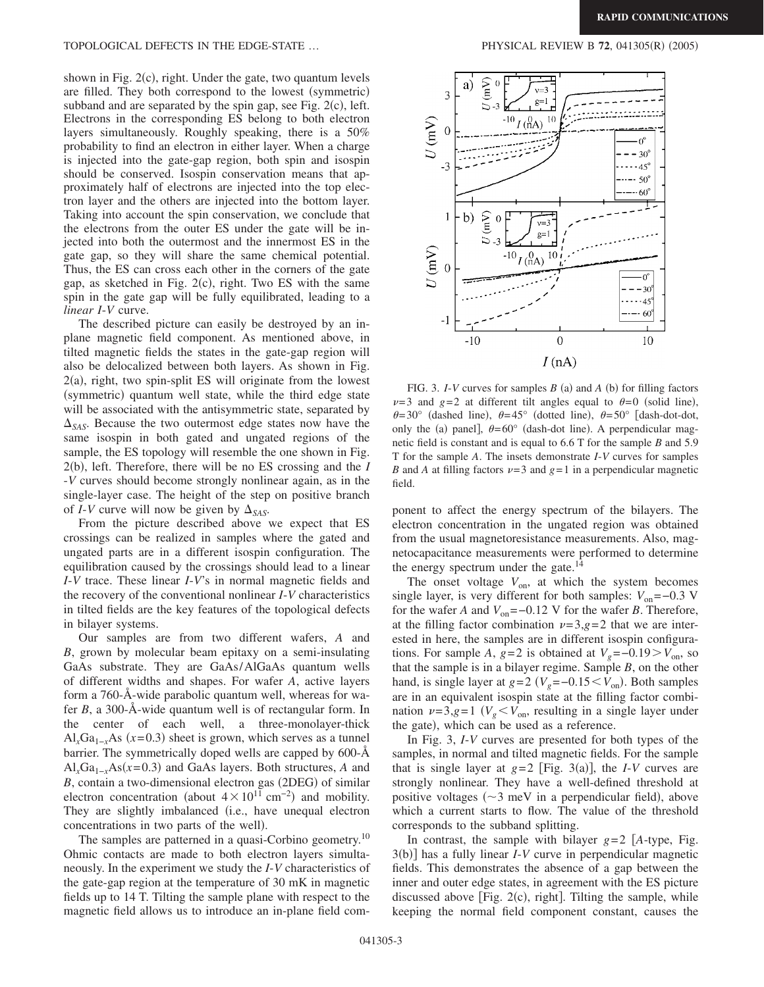TOPOLOGICAL DEFECTS IN THE EDGE-STATE ...

shown in Fig. 2(c), right. Under the gate, two quantum levels are filled. They both correspond to the lowest (symmetric) subband and are separated by the spin gap, see Fig.  $2(c)$ , left. Electrons in the corresponding ES belong to both electron layers simultaneously. Roughly speaking, there is a 50% probability to find an electron in either layer. When a charge is injected into the gate-gap region, both spin and isospin should be conserved. Isospin conservation means that approximately half of electrons are injected into the top electron layer and the others are injected into the bottom layer. Taking into account the spin conservation, we conclude that the electrons from the outer ES under the gate will be injected into both the outermost and the innermost ES in the gate gap, so they will share the same chemical potential. Thus, the ES can cross each other in the corners of the gate gap, as sketched in Fig.  $2(c)$ , right. Two ES with the same spin in the gate gap will be fully equilibrated, leading to a *linear I*-*V* curve.

The described picture can easily be destroyed by an inplane magnetic field component. As mentioned above, in tilted magnetic fields the states in the gate-gap region will also be delocalized between both layers. As shown in Fig. 2(a), right, two spin-split ES will originate from the lowest (symmetric) quantum well state, while the third edge state will be associated with the antisymmetric state, separated by  $\Delta_{SAS}$ . Because the two outermost edge states now have the same isospin in both gated and ungated regions of the sample, the ES topology will resemble the one shown in Fig. 2(b), left. Therefore, there will be no ES crossing and the *I* -*V* curves should become strongly nonlinear again, as in the single-layer case. The height of the step on positive branch of *I*-*V* curve will now be given by  $\Delta_{SAS}$ .

From the picture described above we expect that ES crossings can be realized in samples where the gated and ungated parts are in a different isospin configuration. The equilibration caused by the crossings should lead to a linear *I*-*V* trace. These linear *I*-*V*'s in normal magnetic fields and the recovery of the conventional nonlinear *I*-*V* characteristics in tilted fields are the key features of the topological defects in bilayer systems.

Our samples are from two different wafers, *A* and *B*, grown by molecular beam epitaxy on a semi-insulating GaAs substrate. They are GaAs/AlGaAs quantum wells of different widths and shapes. For wafer *A*, active layers form a 760-Å-wide parabolic quantum well, whereas for wafer *B*, a 300-Å-wide quantum well is of rectangular form. In the center of each well, a three-monolayer-thick  $\text{Al}_x\text{Ga}_{1-x}\text{As}$  (*x*=0.3) sheet is grown, which serves as a tunnel barrier. The symmetrically doped wells are capped by 600-Å Al<sub>*x*</sub>Ga<sub>1−*x*</sub>As(*x*=0.3) and GaAs layers. Both structures, *A* and B, contain a two-dimensional electron gas (2DEG) of similar electron concentration (about  $4 \times 10^{11}$  cm<sup>-2</sup>) and mobility. They are slightly imbalanced (i.e., have unequal electron concentrations in two parts of the well).

The samples are patterned in a quasi-Corbino geometry.<sup>10</sup> Ohmic contacts are made to both electron layers simultaneously. In the experiment we study the *I*-*V* characteristics of the gate-gap region at the temperature of 30 mK in magnetic fields up to 14 T. Tilting the sample plane with respect to the magnetic field allows us to introduce an in-plane field com-



FIG. 3.  $I-V$  curves for samples  $B$  (a) and  $A$  (b) for filling factors  $\nu=3$  and  $g=2$  at different tilt angles equal to  $\theta=0$  (solid line),  $\theta$ =30° (dashed line),  $\theta$ =45° (dotted line),  $\theta$ =50° [dash-dot-dot, only the (a) panel],  $\theta = 60^{\circ}$  (dash-dot line). A perpendicular magnetic field is constant and is equal to 6.6 T for the sample *B* and 5.9 T for the sample *A*. The insets demonstrate *I*-*V* curves for samples *B* and *A* at filling factors  $\nu=3$  and  $g=1$  in a perpendicular magnetic field.

ponent to affect the energy spectrum of the bilayers. The electron concentration in the ungated region was obtained from the usual magnetoresistance measurements. Also, magnetocapacitance measurements were performed to determine the energy spectrum under the gate. $14$ 

The onset voltage  $V_{\text{on}}$ , at which the system becomes single layer, is very different for both samples:  $V_{on} = -0.3$  V for the wafer *A* and  $V_{on}$ =−0.12 V for the wafer *B*. Therefore, at the filling factor combination  $\nu=3, g=2$  that we are interested in here, the samples are in different isospin configurations. For sample *A*,  $g=2$  is obtained at  $V<sub>g</sub>=-0.19 > V<sub>on</sub>$ , so that the sample is in a bilayer regime. Sample *B*, on the other hand, is single layer at  $g=2$  ( $V_g=-0.15\lt V_{on}$ ). Both samples are in an equivalent isospin state at the filling factor combination  $\nu=3, g=1$  ( $V_g < V_{on}$ , resulting in a single layer under the gate), which can be used as a reference.

In Fig. 3, *I*-*V* curves are presented for both types of the samples, in normal and tilted magnetic fields. For the sample that is single layer at  $g=2$  [Fig. 3(a)], the *I-V* curves are strongly nonlinear. They have a well-defined threshold at positive voltages ( $\sim$ 3 meV in a perpendicular field), above which a current starts to flow. The value of the threshold corresponds to the subband splitting.

In contrast, the sample with bilayer  $g=2$  [A-type, Fig. 3(b)] has a fully linear *I-V* curve in perpendicular magnetic fields. This demonstrates the absence of a gap between the inner and outer edge states, in agreement with the ES picture discussed above [Fig.  $2(c)$ , right]. Tilting the sample, while keeping the normal field component constant, causes the